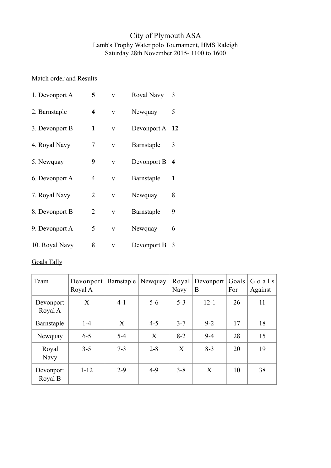## City of Plymouth ASA Lamb's Trophy Water polo Tournament, HMS Raleigh Saturday 28th November 2015- 1100 to 1600

## Match order and Results

| 1. Devonport A | 5              | V | Royal Navy     | 3 |
|----------------|----------------|---|----------------|---|
| 2. Barnstaple  | 4              | V | Newquay        | 5 |
| 3. Devonport B | 1              | V | Devonport A 12 |   |
| 4. Royal Navy  | 7              | V | Barnstaple     | 3 |
| 5. Newquay     | 9              | V | Devonport B    | 4 |
| 6. Devonport A | 4              | V | Barnstaple     | 1 |
| 7. Royal Navy  | 2              | V | Newquay        | 8 |
| 8. Devonport B | $\overline{2}$ | V | Barnstaple     | 9 |
| 9. Devonport A | 5              | V | Newquay        | 6 |
| 10. Royal Navy | 8              | V | Devonport B    | 3 |

## Goals Tally

| Team                 | Devonport<br>Royal A | Barnstaple | Newquay | Navy    | Royal   Development  <br>B | Goals<br>For | Goals<br>Against |
|----------------------|----------------------|------------|---------|---------|----------------------------|--------------|------------------|
| Devonport<br>Royal A | X                    | $4 - 1$    | $5 - 6$ | $5 - 3$ | $12 - 1$                   | 26           | 11               |
| Barnstaple           | $1-4$                | X          | $4 - 5$ | $3 - 7$ | $9 - 2$                    | 17           | 18               |
| Newquay              | $6 - 5$              | $5 - 4$    | X       | $8 - 2$ | $9 - 4$                    | 28           | 15               |
| Royal<br><b>Navy</b> | $3 - 5$              | $7 - 3$    | $2 - 8$ | X       | $8 - 3$                    | 20           | 19               |
| Devonport<br>Royal B | $1 - 12$             | $2 - 9$    | $4-9$   | $3 - 8$ | X                          | 10           | 38               |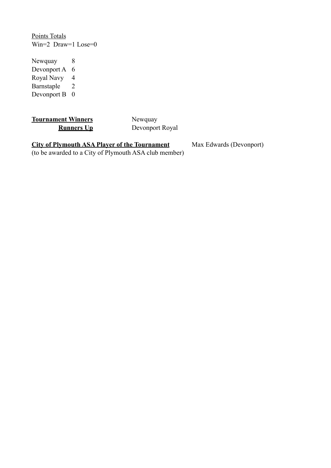Points Totals Win=2 Draw=1 Lose=0

Newquay 8 Devonport A 6 Royal Navy 4 Barnstaple 2 Devonport B 0

**Tournament Winners** Newquay

**Runners Up** Devonport Royal

**City of Plymouth ASA Player of the Tournament** Max Edwards (Devonport)

(to be awarded to a City of Plymouth ASA club member)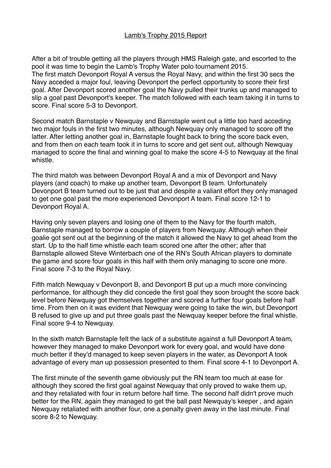## Lamb's Trophy 2015 Report

After a bit of trouble getting all the players through HMS Raleigh gate, and escorted to the pool it was time to begin the Lamb's Trophy Water polo tournament 2015. The first match Devonport Royal A versus the Royal Navy, and within the first 30 secs the Navy acceded a major foul, leaving Devonport the perfect opportunity to score their first goal. After Devonport scored another goal the Navy pulled their trunks up and managed to slip a goal past Devonport's keeper. The match followed with each team taking it in turns to score. Final score 5-3 to Devonport.

Second match Barnstaple v Newquay and Barnstaple went out a little too hard acceding two major fouls in the first two minutes, although Newquay only managed to score off the latter. After letting another goal in, Barnstaple fought back to bring the score back even, and from then on each team took it in turns to score and get sent out, although Newquay managed to score the final and winning goal to make the score 4-5 to Newquay at the final whistle.

The third match was between Devonport Royal A and a mix of Devonport and Navy players (and coach) to make up another team, Devonport B team. Unfortunately Devonport B team turned out to be just that and despite a valiant effort they only managed to get one goal past the more experienced Devonport A team. Final score 12-1 to Devonport Royal A.

Having only seven players and losing one of them to the Navy for the fourth match, Barnstaple managed to borrow a couple of players from Newquay. Although when their goalie got sent out at the beginning of the match it allowed the Navy to get ahead from the start. Up to the half time whistle each team scored one after the other; after that Barnstaple allowed Steve Winterbach one of the RN's South African players to dominate the game and score four goals in this half with them only managing to score one more. Final score 7-3 to the Royal Navy.

Fifth match Newquay v Devonport B, and Devonport B put up a much more convincing performance, for although they did concede the first goal they soon brought the score back level before Newquay got themselves together and scored a further four goals before half time. From then on it was evident that Newquay were going to take the win, but Devonport B refused to give up and put three goals past the Newquay keeper before the final whistle. Final score 9-4 to Newquay.

In the sixth match Barnstaple felt the lack of a substitute against a full Devonport A team, however they managed to make Devonport work for every goal, and would have done much better if they'd managed to keep seven players in the water, as Devonport A took advantage of every man up possession presented to them. Final score 4-1 to Devonport A.

The first minute of the seventh game obviously put the RN team too much at ease for although they scored the first goal against Newquay that only proved to wake them up, and they retaliated with four in return before half time. The second half didn't prove much better for the RN, again they managed to get the ball past Newquay's keeper , and again Newquay retaliated with another four, one a penalty given away in the last minute. Final score 8-2 to Newquay.